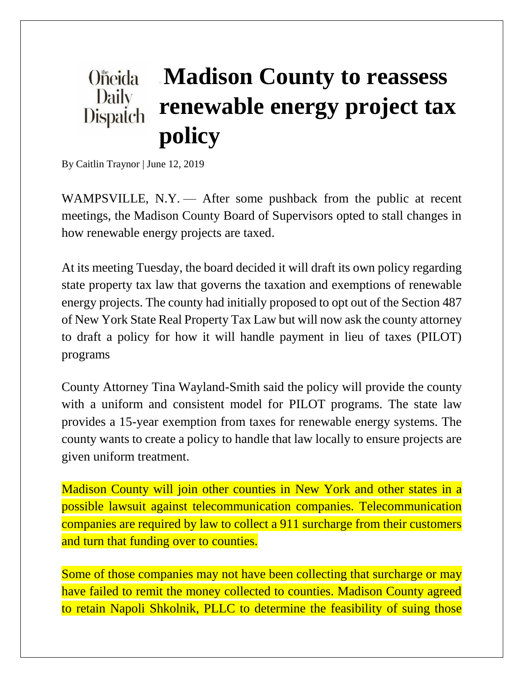## **Madison County to reassess Oneida** Daily **renewable energy project tax**  Dispatch **policy**

By Caitlin Traynor | June 12, 2019

WAMPSVILLE, N.Y. — After some pushback from the public at recent meetings, the Madison County Board of Supervisors opted to stall changes in how renewable energy projects are taxed.

At its meeting Tuesday, the board decided it will draft its own policy regarding state property tax law that governs the taxation and exemptions of renewable energy projects. The county had initially proposed to opt out of the Section 487 of New York State Real Property Tax Law but will now ask the county attorney to draft a policy for how it will handle payment in lieu of taxes (PILOT) programs

County Attorney Tina Wayland-Smith said the policy will provide the county with a uniform and consistent model for PILOT programs. The state law provides a 15-year exemption from taxes for renewable energy systems. The county wants to create a policy to handle that law locally to ensure projects are given uniform treatment.

Madison County will join other counties in New York and other states in a possible lawsuit against telecommunication companies. Telecommunication companies are required by law to collect a 911 surcharge from their customers and turn that funding over to counties.

Some of those companies may not have been collecting that surcharge or may have failed to remit the money collected to counties. Madison County agreed to retain Napoli Shkolnik, PLLC to determine the feasibility of suing those